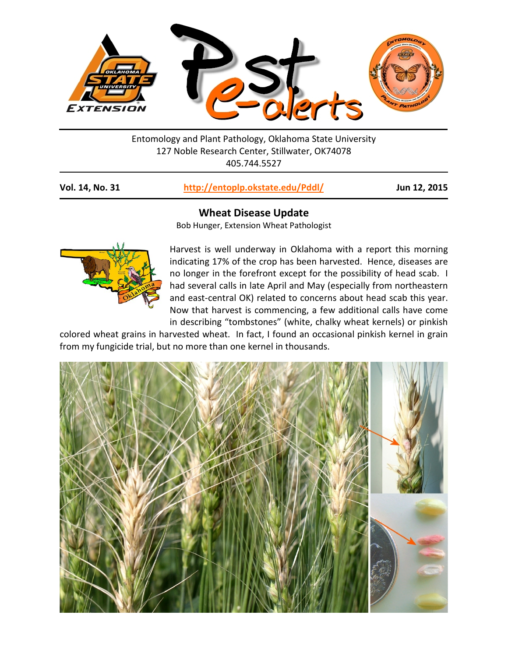

Entomology and Plant Pathology, Oklahoma State University 127 Noble Research Center, Stillwater, OK74078 405.744.5527

| http://entoplp.okstate.edu/Pddl/<br>Vol. 14, No. 31 |
|-----------------------------------------------------|
|-----------------------------------------------------|

**Vol. 14, No. 31 <http://entoplp.okstate.edu/Pddl/> Jun 12, 2015**

## **Wheat Disease Update**

Bob Hunger, Extension Wheat Pathologist



Harvest is well underway in Oklahoma with a report this morning indicating 17% of the crop has been harvested. Hence, diseases are no longer in the forefront except for the possibility of head scab. I had several calls in late April and May (especially from northeastern and east-central OK) related to concerns about head scab this year. Now that harvest is commencing, a few additional calls have come in describing "tombstones" (white, chalky wheat kernels) or pinkish

colored wheat grains in harvested wheat. In fact, I found an occasional pinkish kernel in grain from my fungicide trial, but no more than one kernel in thousands.